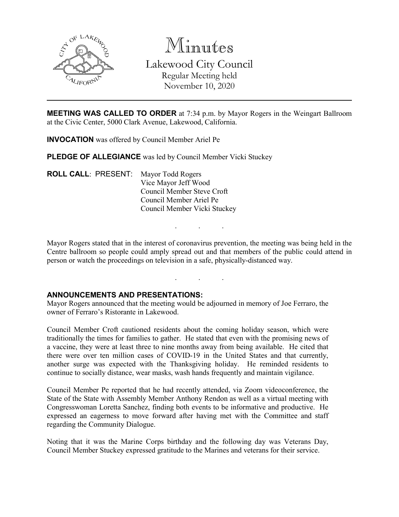

Minutes Lakewood City Council Regular Meeting held November 10, 2020

**MEETING WAS CALLED TO ORDER** at 7:34 p.m. by Mayor Rogers in the Weingart Ballroom at the Civic Center, 5000 Clark Avenue, Lakewood, California.

**INVOCATION** was offered by Council Member Ariel Pe

**PLEDGE OF ALLEGIANCE** was led by Council Member Vicki Stuckey

**ROLL CALL**: PRESENT: Mayor Todd Rogers Vice Mayor Jeff Wood Council Member Steve Croft Council Member Ariel Pe Council Member Vicki Stuckey

Mayor Rogers stated that in the interest of coronavirus prevention, the meeting was being held in the Centre ballroom so people could amply spread out and that members of the public could attend in person or watch the proceedings on television in a safe, physically-distanced way.

. . .

. . .

### **ANNOUNCEMENTS AND PRESENTATIONS:**

Mayor Rogers announced that the meeting would be adjourned in memory of Joe Ferraro, the owner of Ferraro's Ristorante in Lakewood.

Council Member Croft cautioned residents about the coming holiday season, which were traditionally the times for families to gather. He stated that even with the promising news of a vaccine, they were at least three to nine months away from being available. He cited that there were over ten million cases of COVID-19 in the United States and that currently, another surge was expected with the Thanksgiving holiday. He reminded residents to continue to socially distance, wear masks, wash hands frequently and maintain vigilance.

Council Member Pe reported that he had recently attended, via Zoom videoconference, the State of the State with Assembly Member Anthony Rendon as well as a virtual meeting with Congresswoman Loretta Sanchez, finding both events to be informative and productive. He expressed an eagerness to move forward after having met with the Committee and staff regarding the Community Dialogue.

Noting that it was the Marine Corps birthday and the following day was Veterans Day, Council Member Stuckey expressed gratitude to the Marines and veterans for their service.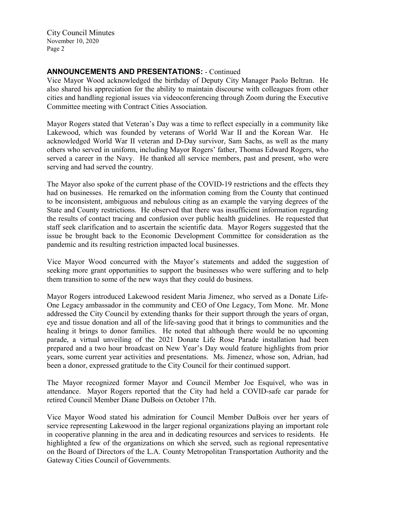# **ANNOUNCEMENTS AND PRESENTATIONS:** - Continued

Vice Mayor Wood acknowledged the birthday of Deputy City Manager Paolo Beltran. He also shared his appreciation for the ability to maintain discourse with colleagues from other cities and handling regional issues via videoconferencing through Zoom during the Executive Committee meeting with Contract Cities Association.

Mayor Rogers stated that Veteran's Day was a time to reflect especially in a community like Lakewood, which was founded by veterans of World War II and the Korean War. He acknowledged World War II veteran and D-Day survivor, Sam Sachs, as well as the many others who served in uniform, including Mayor Rogers' father, Thomas Edward Rogers, who served a career in the Navy. He thanked all service members, past and present, who were serving and had served the country.

The Mayor also spoke of the current phase of the COVID-19 restrictions and the effects they had on businesses. He remarked on the information coming from the County that continued to be inconsistent, ambiguous and nebulous citing as an example the varying degrees of the State and County restrictions. He observed that there was insufficient information regarding the results of contact tracing and confusion over public health guidelines. He requested that staff seek clarification and to ascertain the scientific data. Mayor Rogers suggested that the issue be brought back to the Economic Development Committee for consideration as the pandemic and its resulting restriction impacted local businesses.

Vice Mayor Wood concurred with the Mayor's statements and added the suggestion of seeking more grant opportunities to support the businesses who were suffering and to help them transition to some of the new ways that they could do business.

Mayor Rogers introduced Lakewood resident Maria Jimenez, who served as a Donate Life-One Legacy ambassador in the community and CEO of One Legacy, Tom Mone. Mr. Mone addressed the City Council by extending thanks for their support through the years of organ, eye and tissue donation and all of the life-saving good that it brings to communities and the healing it brings to donor families. He noted that although there would be no upcoming parade, a virtual unveiling of the 2021 Donate Life Rose Parade installation had been prepared and a two hour broadcast on New Year's Day would feature highlights from prior years, some current year activities and presentations. Ms. Jimenez, whose son, Adrian, had been a donor, expressed gratitude to the City Council for their continued support.

The Mayor recognized former Mayor and Council Member Joe Esquivel, who was in attendance. Mayor Rogers reported that the City had held a COVID-safe car parade for retired Council Member Diane DuBois on October 17th.

Vice Mayor Wood stated his admiration for Council Member DuBois over her years of service representing Lakewood in the larger regional organizations playing an important role in cooperative planning in the area and in dedicating resources and services to residents. He highlighted a few of the organizations on which she served, such as regional representative on the Board of Directors of the L.A. County Metropolitan Transportation Authority and the Gateway Cities Council of Governments.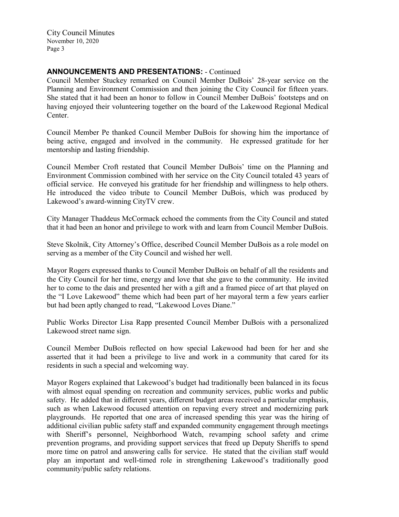# **ANNOUNCEMENTS AND PRESENTATIONS:** - Continued

Council Member Stuckey remarked on Council Member DuBois' 28-year service on the Planning and Environment Commission and then joining the City Council for fifteen years. She stated that it had been an honor to follow in Council Member DuBois' footsteps and on having enjoyed their volunteering together on the board of the Lakewood Regional Medical Center.

Council Member Pe thanked Council Member DuBois for showing him the importance of being active, engaged and involved in the community. He expressed gratitude for her mentorship and lasting friendship.

Council Member Croft restated that Council Member DuBois' time on the Planning and Environment Commission combined with her service on the City Council totaled 43 years of official service. He conveyed his gratitude for her friendship and willingness to help others. He introduced the video tribute to Council Member DuBois, which was produced by Lakewood's award-winning CityTV crew.

City Manager Thaddeus McCormack echoed the comments from the City Council and stated that it had been an honor and privilege to work with and learn from Council Member DuBois.

Steve Skolnik, City Attorney's Office, described Council Member DuBois as a role model on serving as a member of the City Council and wished her well.

Mayor Rogers expressed thanks to Council Member DuBois on behalf of all the residents and the City Council for her time, energy and love that she gave to the community. He invited her to come to the dais and presented her with a gift and a framed piece of art that played on the "I Love Lakewood" theme which had been part of her mayoral term a few years earlier but had been aptly changed to read, "Lakewood Loves Diane."

Public Works Director Lisa Rapp presented Council Member DuBois with a personalized Lakewood street name sign.

Council Member DuBois reflected on how special Lakewood had been for her and she asserted that it had been a privilege to live and work in a community that cared for its residents in such a special and welcoming way.

Mayor Rogers explained that Lakewood's budget had traditionally been balanced in its focus with almost equal spending on recreation and community services, public works and public safety. He added that in different years, different budget areas received a particular emphasis, such as when Lakewood focused attention on repaving every street and modernizing park playgrounds. He reported that one area of increased spending this year was the hiring of additional civilian public safety staff and expanded community engagement through meetings with Sheriff's personnel, Neighborhood Watch, revamping school safety and crime prevention programs, and providing support services that freed up Deputy Sheriffs to spend more time on patrol and answering calls for service. He stated that the civilian staff would play an important and well-timed role in strengthening Lakewood's traditionally good community/public safety relations.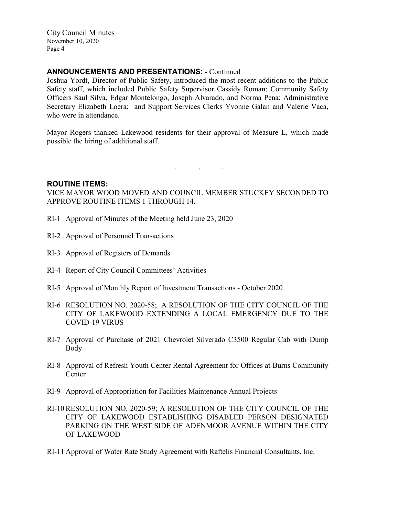### **ANNOUNCEMENTS AND PRESENTATIONS:** - Continued

Joshua Yordt, Director of Public Safety, introduced the most recent additions to the Public Safety staff, which included Public Safety Supervisor Cassidy Roman; Community Safety Officers Saul Silva, Edgar Montelongo, Joseph Alvarado, and Norma Pena; Administrative Secretary Elizabeth Loera; and Support Services Clerks Yvonne Galan and Valerie Vaca, who were in attendance.

Mayor Rogers thanked Lakewood residents for their approval of Measure L, which made possible the hiring of additional staff.

#### **ROUTINE ITEMS:**

VICE MAYOR WOOD MOVED AND COUNCIL MEMBER STUCKEY SECONDED TO APPROVE ROUTINE ITEMS 1 THROUGH 14.

. . .

- RI-1 Approval of Minutes of the Meeting held June 23, 2020
- RI-2 Approval of Personnel Transactions
- RI-3 Approval of Registers of Demands
- RI-4 Report of City Council Committees' Activities
- RI-5 Approval of Monthly Report of Investment Transactions October 2020
- RI-6 RESOLUTION NO. 2020-58; A RESOLUTION OF THE CITY COUNCIL OF THE CITY OF LAKEWOOD EXTENDING A LOCAL EMERGENCY DUE TO THE COVID-19 VIRUS
- RI-7 Approval of Purchase of 2021 Chevrolet Silverado C3500 Regular Cab with Dump Body
- RI-8 Approval of Refresh Youth Center Rental Agreement for Offices at Burns Community **Center**
- RI-9 Approval of Appropriation for Facilities Maintenance Annual Projects
- RI-10 RESOLUTION NO. 2020-59; A RESOLUTION OF THE CITY COUNCIL OF THE CITY OF LAKEWOOD ESTABLISHING DISABLED PERSON DESIGNATED PARKING ON THE WEST SIDE OF ADENMOOR AVENUE WITHIN THE CITY OF LAKEWOOD
- RI-11 Approval of Water Rate Study Agreement with Raftelis Financial Consultants, Inc.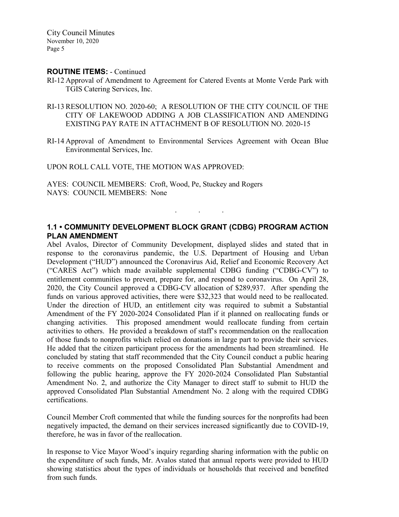#### **ROUTINE ITEMS:** - Continued

- RI-12 Approval of Amendment to Agreement for Catered Events at Monte Verde Park with TGIS Catering Services, Inc.
- RI-13 RESOLUTION NO. 2020-60; A RESOLUTION OF THE CITY COUNCIL OF THE CITY OF LAKEWOOD ADDING A JOB CLASSIFICATION AND AMENDING EXISTING PAY RATE IN ATTACHMENT B OF RESOLUTION NO. 2020-15
- RI-14 Approval of Amendment to Environmental Services Agreement with Ocean Blue Environmental Services, Inc.

UPON ROLL CALL VOTE, THE MOTION WAS APPROVED:

AYES: COUNCIL MEMBERS: Croft, Wood, Pe, Stuckey and Rogers NAYS: COUNCIL MEMBERS: None

# **1.1 • COMMUNITY DEVELOPMENT BLOCK GRANT (CDBG) PROGRAM ACTION PLAN AMENDMENT**

. . .

Abel Avalos, Director of Community Development, displayed slides and stated that in response to the coronavirus pandemic, the U.S. Department of Housing and Urban Development ("HUD") announced the Coronavirus Aid, Relief and Economic Recovery Act ("CARES Act") which made available supplemental CDBG funding ("CDBG-CV") to entitlement communities to prevent, prepare for, and respond to coronavirus. On April 28, 2020, the City Council approved a CDBG-CV allocation of \$289,937. After spending the funds on various approved activities, there were \$32,323 that would need to be reallocated. Under the direction of HUD, an entitlement city was required to submit a Substantial Amendment of the FY 2020-2024 Consolidated Plan if it planned on reallocating funds or changing activities. This proposed amendment would reallocate funding from certain activities to others. He provided a breakdown of staff's recommendation on the reallocation of those funds to nonprofits which relied on donations in large part to provide their services. He added that the citizen participant process for the amendments had been streamlined. He concluded by stating that staff recommended that the City Council conduct a public hearing to receive comments on the proposed Consolidated Plan Substantial Amendment and following the public hearing, approve the FY 2020-2024 Consolidated Plan Substantial Amendment No. 2, and authorize the City Manager to direct staff to submit to HUD the approved Consolidated Plan Substantial Amendment No. 2 along with the required CDBG certifications.

Council Member Croft commented that while the funding sources for the nonprofits had been negatively impacted, the demand on their services increased significantly due to COVID-19, therefore, he was in favor of the reallocation.

In response to Vice Mayor Wood's inquiry regarding sharing information with the public on the expenditure of such funds, Mr. Avalos stated that annual reports were provided to HUD showing statistics about the types of individuals or households that received and benefited from such funds.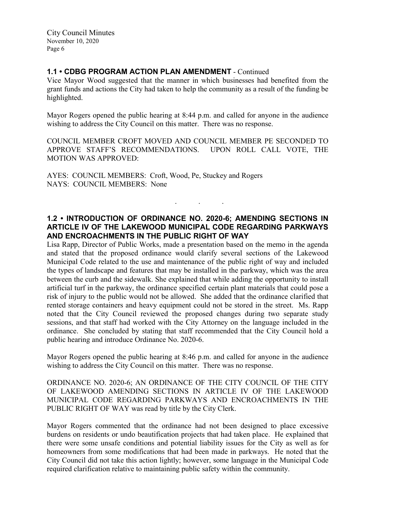# **1.1 • CDBG PROGRAM ACTION PLAN AMENDMENT** - Continued

Vice Mayor Wood suggested that the manner in which businesses had benefited from the grant funds and actions the City had taken to help the community as a result of the funding be highlighted.

Mayor Rogers opened the public hearing at 8:44 p.m. and called for anyone in the audience wishing to address the City Council on this matter. There was no response.

COUNCIL MEMBER CROFT MOVED AND COUNCIL MEMBER PE SECONDED TO APPROVE STAFF'S RECOMMENDATIONS. UPON ROLL CALL VOTE, THE MOTION WAS APPROVED:

AYES: COUNCIL MEMBERS: Croft, Wood, Pe, Stuckey and Rogers NAYS: COUNCIL MEMBERS: None

### **1.2 • INTRODUCTION OF ORDINANCE NO. 2020-6; AMENDING SECTIONS IN ARTICLE IV OF THE LAKEWOOD MUNICIPAL CODE REGARDING PARKWAYS AND ENCROACHMENTS IN THE PUBLIC RIGHT OF WAY**

. . .

Lisa Rapp, Director of Public Works, made a presentation based on the memo in the agenda and stated that the proposed ordinance would clarify several sections of the Lakewood Municipal Code related to the use and maintenance of the public right of way and included the types of landscape and features that may be installed in the parkway, which was the area between the curb and the sidewalk. She explained that while adding the opportunity to install artificial turf in the parkway, the ordinance specified certain plant materials that could pose a risk of injury to the public would not be allowed. She added that the ordinance clarified that rented storage containers and heavy equipment could not be stored in the street. Ms. Rapp noted that the City Council reviewed the proposed changes during two separate study sessions, and that staff had worked with the City Attorney on the language included in the ordinance. She concluded by stating that staff recommended that the City Council hold a public hearing and introduce Ordinance No. 2020-6.

Mayor Rogers opened the public hearing at 8:46 p.m. and called for anyone in the audience wishing to address the City Council on this matter. There was no response.

ORDINANCE NO. 2020-6; AN ORDINANCE OF THE CITY COUNCIL OF THE CITY OF LAKEWOOD AMENDING SECTIONS IN ARTICLE IV OF THE LAKEWOOD MUNICIPAL CODE REGARDING PARKWAYS AND ENCROACHMENTS IN THE PUBLIC RIGHT OF WAY was read by title by the City Clerk.

Mayor Rogers commented that the ordinance had not been designed to place excessive burdens on residents or undo beautification projects that had taken place. He explained that there were some unsafe conditions and potential liability issues for the City as well as for homeowners from some modifications that had been made in parkways. He noted that the City Council did not take this action lightly; however, some language in the Municipal Code required clarification relative to maintaining public safety within the community.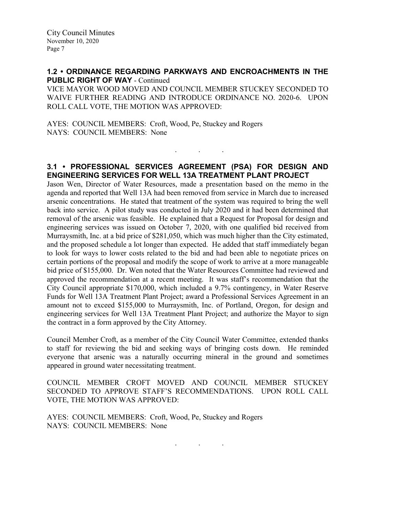# **1.2 • ORDINANCE REGARDING PARKWAYS AND ENCROACHMENTS IN THE PUBLIC RIGHT OF WAY** - Continued

VICE MAYOR WOOD MOVED AND COUNCIL MEMBER STUCKEY SECONDED TO WAIVE FURTHER READING AND INTRODUCE ORDINANCE NO. 2020-6. UPON ROLL CALL VOTE, THE MOTION WAS APPROVED:

AYES: COUNCIL MEMBERS: Croft, Wood, Pe, Stuckey and Rogers NAYS: COUNCIL MEMBERS: None

### **3.1 • PROFESSIONAL SERVICES AGREEMENT (PSA) FOR DESIGN AND ENGINEERING SERVICES FOR WELL 13A TREATMENT PLANT PROJECT**

. . .

Jason Wen, Director of Water Resources, made a presentation based on the memo in the agenda and reported that Well 13A had been removed from service in March due to increased arsenic concentrations. He stated that treatment of the system was required to bring the well back into service. A pilot study was conducted in July 2020 and it had been determined that removal of the arsenic was feasible. He explained that a Request for Proposal for design and engineering services was issued on October 7, 2020, with one qualified bid received from Murraysmith, Inc. at a bid price of \$281,050, which was much higher than the City estimated, and the proposed schedule a lot longer than expected. He added that staff immediately began to look for ways to lower costs related to the bid and had been able to negotiate prices on certain portions of the proposal and modify the scope of work to arrive at a more manageable bid price of \$155,000. Dr. Wen noted that the Water Resources Committee had reviewed and approved the recommendation at a recent meeting. It was staff's recommendation that the City Council appropriate \$170,000, which included a 9.7% contingency, in Water Reserve Funds for Well 13A Treatment Plant Project; award a Professional Services Agreement in an amount not to exceed \$155,000 to Murraysmith, Inc. of Portland, Oregon, for design and engineering services for Well 13A Treatment Plant Project; and authorize the Mayor to sign the contract in a form approved by the City Attorney.

Council Member Croft, as a member of the City Council Water Committee, extended thanks to staff for reviewing the bid and seeking ways of bringing costs down. He reminded everyone that arsenic was a naturally occurring mineral in the ground and sometimes appeared in ground water necessitating treatment.

COUNCIL MEMBER CROFT MOVED AND COUNCIL MEMBER STUCKEY SECONDED TO APPROVE STAFF'S RECOMMENDATIONS. UPON ROLL CALL VOTE, THE MOTION WAS APPROVED:

AYES: COUNCIL MEMBERS: Croft, Wood, Pe, Stuckey and Rogers NAYS: COUNCIL MEMBERS: None

. . .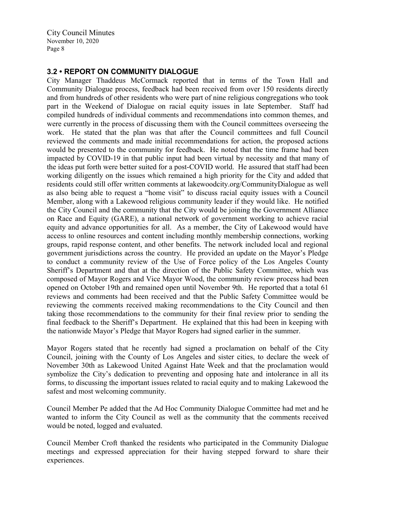### **3.2 • REPORT ON COMMUNITY DIALOGUE**

City Manager Thaddeus McCormack reported that in terms of the Town Hall and Community Dialogue process, feedback had been received from over 150 residents directly and from hundreds of other residents who were part of nine religious congregations who took part in the Weekend of Dialogue on racial equity issues in late September. Staff had compiled hundreds of individual comments and recommendations into common themes, and were currently in the process of discussing them with the Council committees overseeing the work. He stated that the plan was that after the Council committees and full Council reviewed the comments and made initial recommendations for action, the proposed actions would be presented to the community for feedback. He noted that the time frame had been impacted by COVID-19 in that public input had been virtual by necessity and that many of the ideas put forth were better suited for a post-COVID world. He assured that staff had been working diligently on the issues which remained a high priority for the City and added that residents could still offer written comments at lakewoodcity.org/CommunityDialogue as well as also being able to request a "home visit" to discuss racial equity issues with a Council Member, along with a Lakewood religious community leader if they would like. He notified the City Council and the community that the City would be joining the Government Alliance on Race and Equity (GARE), a national network of government working to achieve racial equity and advance opportunities for all. As a member, the City of Lakewood would have access to online resources and content including monthly membership connections, working groups, rapid response content, and other benefits. The network included local and regional government jurisdictions across the country. He provided an update on the Mayor's Pledge to conduct a community review of the Use of Force policy of the Los Angeles County Sheriff's Department and that at the direction of the Public Safety Committee, which was composed of Mayor Rogers and Vice Mayor Wood, the community review process had been opened on October 19th and remained open until November 9th. He reported that a total 61 reviews and comments had been received and that the Public Safety Committee would be reviewing the comments received making recommendations to the City Council and then taking those recommendations to the community for their final review prior to sending the final feedback to the Sheriff's Department. He explained that this had been in keeping with the nationwide Mayor's Pledge that Mayor Rogers had signed earlier in the summer.

Mayor Rogers stated that he recently had signed a proclamation on behalf of the City Council, joining with the County of Los Angeles and sister cities, to declare the week of November 30th as Lakewood United Against Hate Week and that the proclamation would symbolize the City's dedication to preventing and opposing hate and intolerance in all its forms, to discussing the important issues related to racial equity and to making Lakewood the safest and most welcoming community.

Council Member Pe added that the Ad Hoc Community Dialogue Committee had met and he wanted to inform the City Council as well as the community that the comments received would be noted, logged and evaluated.

Council Member Croft thanked the residents who participated in the Community Dialogue meetings and expressed appreciation for their having stepped forward to share their experiences.